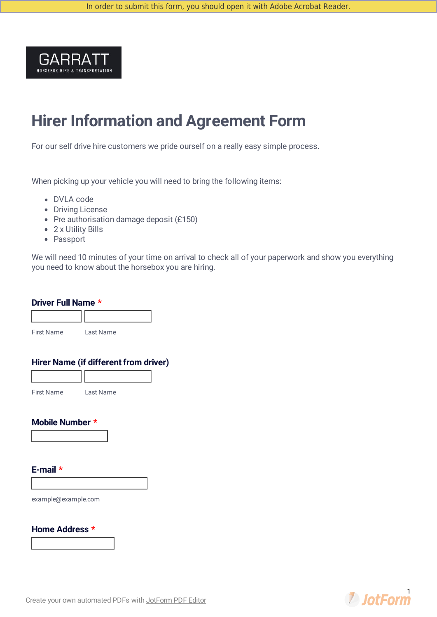

## **Hirer Information and Agreement Form**

For our self drive hire customers we pride ourself on a really easy simple process.

When picking up your vehicle you will need to bring the following items:

- DVLA code
- Driving License
- Pre authorisation damage deposit (£150)
- 2 x Utility Bills
- Passport

We will need 10 minutes of your time on arrival to check all of your paperwork and show you everything you need to know about the horsebox you are hiring.

#### **Driver Full Name \***



#### **Hirer Name (if different from driver)**

| <b>First Name</b> | Last Name |  |
|-------------------|-----------|--|

#### **Mobile Number \***

#### **E-mail \***

example@example.com

**Home Address \***

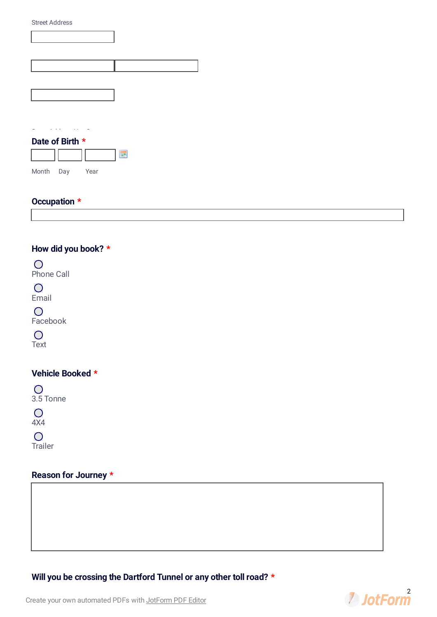| <b>Street Address</b> |  |
|-----------------------|--|
|                       |  |
|                       |  |
|                       |  |
|                       |  |
|                       |  |
|                       |  |
|                       |  |
|                       |  |
|                       |  |
|                       |  |

#### **Date of Birth \***



## **Occupation \***

## **How did you book? \***

 $\bigcirc$ Phone Call

 $\overline{O}$ Email

 $\overline{O}$ Facebook

 $\overline{O}$ 

Text

### **Vehicle Booked \***

 $\overline{O}$ 3.5 Tonne

 $\overline{O}$ 

4X4

 $\overline{O}$ 

Trailer

## **Reason for Journey \***



# **2** JotForm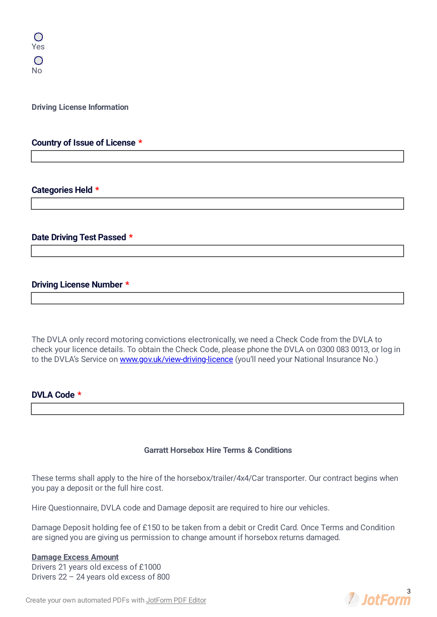**Driving License Information**

#### **Country of Issue of License \***

#### **Categories Held \***

#### **Date Driving Test Passed \***

#### **Driving License Number \***

The DVLA only record motoring convictions electronically, we need a Check Code from the DVLA to check your licence details. To obtain the Check Code, please phone the DVLA on 0300 083 0013, or log in to the DVLA's Service on [www.gov.uk/view-driving-licence](http://www.gov.uk/view-driving-licence) (you'll need your National Insurance No.)

#### **DVLA Code \***

#### **Garratt Horsebox Hire Terms & Conditions**

These terms shall apply to the hire of the horsebox/trailer/4x4/Car transporter. Our contract begins when you pay a deposit or the full hire cost.

Hire Questionnaire, DVLA code and Damage deposit are required to hire our vehicles.

Damage Deposit holding fee of £150 to be taken from a debit or Credit Card. Once Terms and Condition are signed you are giving us permission to change amount if horsebox returns damaged.

#### **Damage Excess Amount**

Drivers 21 years old excess of £1000 Drivers 22 – 24 years old excess of 800